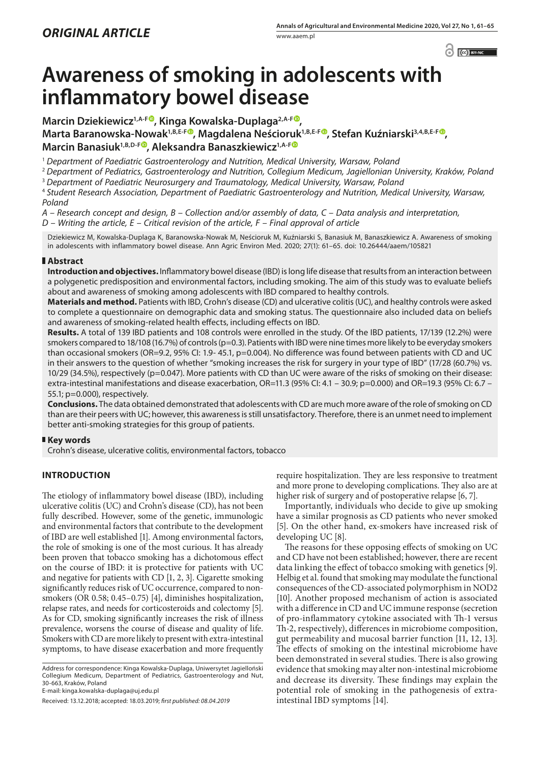$\left| \begin{array}{cc} \text{ } & \text{ } \\ \text{ } & \text{ } \end{array} \right|$   $\left| \begin{array}{cc} \text{ } & \text{ } \\ \text{ } & \text{ } \end{array} \right|$ 

# **Awareness of smoking in adolescents with inflammatory bowel disease**

**Marcin Dziekiewicz<sup>1,A-[F](http://orcid.org/0000-0002-8465-3214)®</sup>, Kinga Kowalska-Duplaga<sup>2,A-F®</sup>, Marta Baranowska-Nowak1,B,E-F [,](http://orcid.org/0000-0002-0707-8105) Magdalena Neścioruk1,B,E-[F](http://orcid.org/0000-0003-0069-6178) , Stefan Kuźniarski3,4,B,E-[F](http://) , Marcin Banasiuk1,B,D-F , Aleksandra Banaszkiewicz1,A-F**

<sup>1</sup> *Department of Paediatric Gastroenterology and Nutrition, Medical University, Warsaw, Poland*

<sup>2</sup> *Department of Pediatrics, Gastroenterology and Nutrition, Collegium Medicum, Jagiellonian University, Kraków, Poland*

<sup>3</sup> *Department of Paediatric Neurosurgery and Traumatology, Medical University, Warsaw, Poland*

<sup>4</sup> *Student Research Association, Department of Paediatric Gastroenterology and Nutrition, Medical University, Warsaw, Poland*

*A – Research concept and design, B – Collection and/or assembly of data, C – Data analysis and interpretation, D – Writing the article, E – Critical revision of the article, F – Final approval of article*

Dziekiewicz M, Kowalska-Duplaga K, Baranowska-Nowak M, Neścioruk M, Kuźniarski S, Banasiuk M, Banaszkiewicz A. Awareness of smoking in adolescents with inflammatory bowel disease. Ann Agric Environ Med. 2020; 27(1): 61–65. doi: 10.26444/aaem/105821

## **Abstract**

**Introduction and objectives.** Inflammatory bowel disease (IBD) is long life disease that results from an interaction between a polygenetic predisposition and environmental factors, including smoking. The aim of this study was to evaluate beliefs about and awareness of smoking among adolescents with IBD compared to healthy controls.

**Materials and method.** Patients with IBD, Crohn's disease (CD) and ulcerative colitis (UC), and healthy controls were asked to complete a questionnaire on demographic data and smoking status. The questionnaire also included data on beliefs and awareness of smoking-related health effects, including effects on IBD.

**Results.** A total of 139 IBD patients and 108 controls were enrolled in the study. Of the IBD patients, 17/139 (12.2%) were smokers compared to 18/108 (16.7%) of controls (p=0.3). Patients with IBD were nine times more likely to be everyday smokers than occasional smokers (OR=9.2, 95% CI: 1.9- 45.1, p=0.004). No difference was found between patients with CD and UC in their answers to the question of whether "smoking increases the risk for surgery in your type of IBD" (17/28 (60.7%) vs. 10/29 (34.5%), respectively (p=0.047). More patients with CD than UC were aware of the risks of smoking on their disease: extra-intestinal manifestations and disease exacerbation, OR=11.3 (95% CI: 4.1 – 30.9; p=0.000) and OR=19.3 (95% CI: 6.7 – 55.1; p=0.000), respectively.

**Conclusions.** The data obtained demonstrated that adolescents with CD are much more aware of the role of smoking on CD than are their peers with UC; however, this awareness is still unsatisfactory. Therefore, there is an unmet need to implement better anti-smoking strategies for this group of patients.

## **Key words**

Crohn's disease, ulcerative colitis, environmental factors, tobacco

## **INTRODUCTION**

The etiology of inflammatory bowel disease (IBD), including ulcerative colitis (UC) and Crohn's disease (CD), has not been fully described. However, some of the genetic, immunologic and environmental factors that contribute to the development of IBD are well established [1]. Among environmental factors, the role of smoking is one of the most curious. It has already been proven that tobacco smoking has a dichotomous effect on the course of IBD: it is protective for patients with UC and negative for patients with CD [1, 2, 3]. Cigarette smoking significantly reduces risk of UC occurrence, compared to nonsmokers (OR 0.58; 0.45–0.75) [4], diminishes hospitalization, relapse rates, and needs for corticosteroids and colectomy [5]. As for CD, smoking significantly increases the risk of illness prevalence, worsens the course of disease and quality of life. Smokers with CD are more likely to present with extra-intestinal symptoms, to have disease exacerbation and more frequently

Address for correspondence: Kinga Kowalska-Duplaga, Uniwersytet Jagielloński Collegium Medicum, Department of Pediatrics, Gastroenterology and Nut, 30-663, Kraków, Poland

E-mail: kinga.kowalska-duplaga@uj.edu.pl

Received: 13.12.2018; accepted: 18.03.2019; *first published: 08.04.2019*

require hospitalization. They are less responsive to treatment and more prone to developing complications. They also are at higher risk of surgery and of postoperative relapse [6, 7].

Importantly, individuals who decide to give up smoking have a similar prognosis as CD patients who never smoked [5]. On the other hand, ex-smokers have increased risk of developing UC [8].

The reasons for these opposing effects of smoking on UC and CD have not been established; however, there are recent data linking the effect of tobacco smoking with genetics [9]. Helbig et al. found that smoking may modulate the functional consequences of the CD-associated polymorphism in NOD2 [10]. Another proposed mechanism of action is associated with a difference in CD and UC immune response (secretion of pro-inflammatory cytokine associated with Th-1 versus Th-2, respectively), differences in microbiome composition, gut permeability and mucosal barrier function [11, 12, 13]. The effects of smoking on the intestinal microbiome have been demonstrated in several studies. There is also growing evidence that smoking may alter non-intestinal microbiome and decrease its diversity. These findings may explain the potential role of smoking in the pathogenesis of extraintestinal IBD symptoms [14].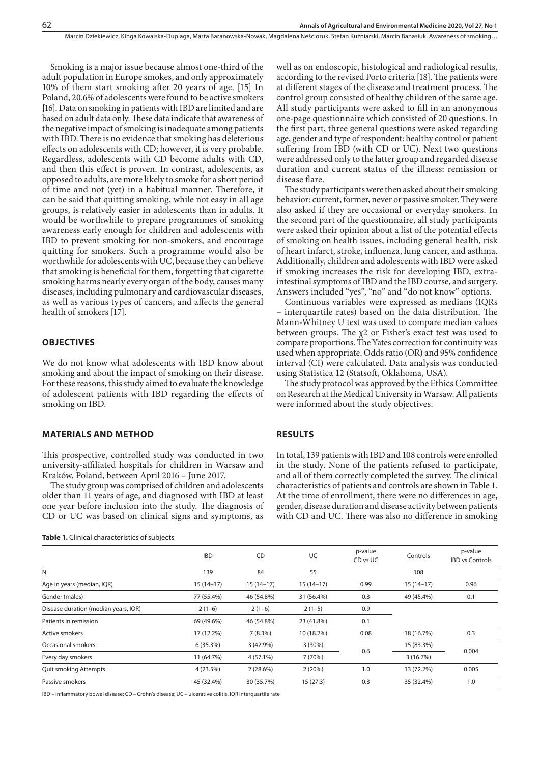Smoking is a major issue because almost one-third of the adult population in Europe smokes, and only approximately 10% of them start smoking after 20 years of age. [15] In Poland, 20.6% of adolescents were found to be active smokers [16]. Data on smoking in patients with IBD are limited and are based on adult data only. These data indicate that awareness of the negative impact of smoking is inadequate among patients with IBD. There is no evidence that smoking has deleterious effects on adolescents with CD; however, it is very probable. Regardless, adolescents with CD become adults with CD, and then this effect is proven. In contrast, adolescents, as opposed to adults, are more likely to smoke for a short period of time and not (yet) in a habitual manner. Therefore, it can be said that quitting smoking, while not easy in all age groups, is relatively easier in adolescents than in adults. It would be worthwhile to prepare programmes of smoking awareness early enough for children and adolescents with IBD to prevent smoking for non-smokers, and encourage quitting for smokers. Such a programme would also be worthwhile for adolescents with UC, because they can believe that smoking is beneficial for them, forgetting that cigarette smoking harms nearly every organ of the body, causes many diseases, including pulmonary and cardiovascular diseases, as well as various types of cancers, and affects the general health of smokers [17].

### **OBJECTIVES**

We do not know what adolescents with IBD know about smoking and about the impact of smoking on their disease. For these reasons, this study aimed to evaluate the knowledge of adolescent patients with IBD regarding the effects of smoking on IBD.

#### **MATERIALS AND METHOD**

This prospective, controlled study was conducted in two university-affiliated hospitals for children in Warsaw and Kraków, Poland, between April 2016 – June 2017.

The study group was comprised of children and adolescents older than 11 years of age, and diagnosed with IBD at least one year before inclusion into the study. The diagnosis of CD or UC was based on clinical signs and symptoms, as

**Table 1.** Clinical characteristics of subjects

well as on endoscopic, histological and radiological results, according to the revised Porto criteria [18]. The patients were at different stages of the disease and treatment process. The control group consisted of healthy children of the same age. All study participants were asked to fill in an anonymous one-page questionnaire which consisted of 20 questions. In the first part, three general questions were asked regarding age, gender and type of respondent: healthy control or patient suffering from IBD (with CD or UC). Next two questions were addressed only to the latter group and regarded disease duration and current status of the illness: remission or disease flare.

The study participants were then asked about their smoking behavior: current, former, never or passive smoker. They were also asked if they are occasional or everyday smokers. In the second part of the questionnaire, all study participants were asked their opinion about a list of the potential effects of smoking on health issues, including general health, risk of heart infarct, stroke, influenza, lung cancer, and asthma. Additionally, children and adolescents with IBD were asked if smoking increases the risk for developing IBD, extraintestinal symptoms of IBD and the IBD course, and surgery. Answers included "yes", "no" and "do not know" options.

Continuous variables were expressed as medians (IQRs – interquartile rates) based on the data distribution. The Mann-Whitney U test was used to compare median values between groups. The  $\chi$ 2 or Fisher's exact test was used to compare proportions. The Yates correction for continuity was used when appropriate. Odds ratio (OR) and 95% confidence interval (CI) were calculated. Data analysis was conducted using Statistica 12 (Statsoft, Oklahoma, USA).

The study protocol was approved by the Ethics Committee on Research at the Medical University in Warsaw. All patients were informed about the study objectives.

#### **RESULTS**

In total, 139 patients with IBD and 108 controls were enrolled in the study. None of the patients refused to participate, and all of them correctly completed the survey. The clinical characteristics of patients and controls are shown in Table 1. At the time of enrollment, there were no differences in age, gender, disease duration and disease activity between patients with CD and UC. There was also no difference in smoking

|                                      | <b>IBD</b>  | CD          | UC          | p-value<br>CD vs UC | Controls    | p-value<br><b>IBD vs Controls</b> |
|--------------------------------------|-------------|-------------|-------------|---------------------|-------------|-----------------------------------|
| N                                    | 139         | 84          | 55          |                     | 108         |                                   |
| Age in years (median, IQR)           | $15(14-17)$ | $15(14-17)$ | $15(14-17)$ | 0.99                | $15(14-17)$ | 0.96                              |
| Gender (males)                       | 77 (55.4%)  | 46 (54.8%)  | 31 (56.4%)  | 0.3                 | 49 (45.4%)  | 0.1                               |
| Disease duration (median years, IQR) | $2(1-6)$    | $2(1-6)$    | $2(1-5)$    | 0.9                 |             |                                   |
| Patients in remission                | 69 (49.6%)  | 46 (54.8%)  | 23 (41.8%)  | 0.1                 |             |                                   |
| Active smokers                       | 17 (12.2%)  | $7(8.3\%)$  | 10 (18.2%)  | 0.08                | 18 (16.7%)  | 0.3                               |
| Occasional smokers                   | 6(35.3%)    | 3(42.9%)    | $3(30\%)$   | 0.6                 | 15 (83.3%)  | 0.004                             |
| Every day smokers                    | 11 (64.7%)  | $4(57.1\%)$ | 7 (70%)     |                     | 3(16.7%)    |                                   |
| <b>Quit smoking Attempts</b>         | 4 (23.5%)   | $2(28.6\%)$ | 2(20%)      | 1.0                 | 13 (72.2%)  | 0.005                             |
| Passive smokers                      | 45 (32.4%)  | 30 (35.7%)  | 15(27.3)    | 0.3                 | 35 (32.4%)  | 1.0                               |

IBD – inflammatory bowel disease; CD – Crohn's disease; UC – ulcerative colitis, IQR interquartile rate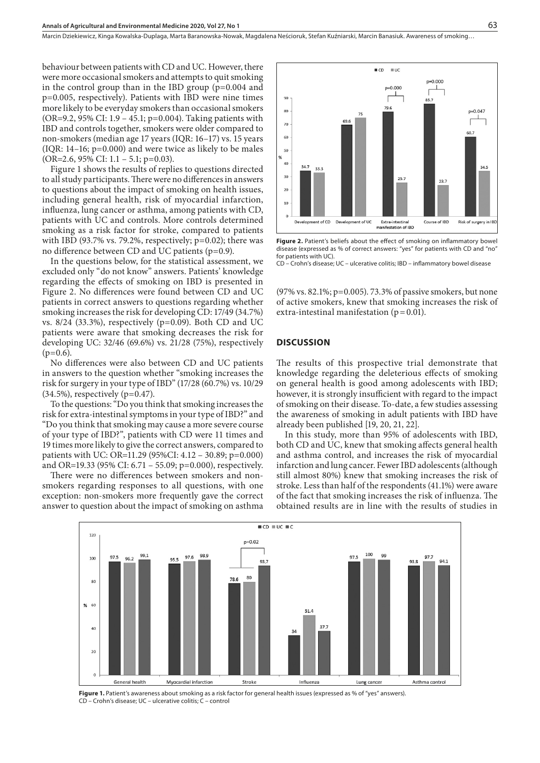Marcin Dziekiewicz, Kinga Kowalska-Duplaga, Marta Baranowska-Nowak, Magdalena Neścioruk, Stefan Kuźniarski, Marcin Banasiuk . Awareness of smoking…

behaviour between patients with CD and UC. However, there were more occasional smokers and attempts to quit smoking in the control group than in the IBD group (p=0.004 and p=0.005, respectively). Patients with IBD were nine times more likely to be everyday smokers than occasional smokers (OR=9.2, 95% CI: 1.9 – 45.1; p=0.004). Taking patients with IBD and controls together, smokers were older compared to non-smokers (median age 17 years (IQR: 16–17) vs. 15 years (IQR: 14–16; p=0.000) and were twice as likely to be males (OR=2.6, 95% CI: 1.1 – 5.1; p=0.03).

Figure 1 shows the results of replies to questions directed to all study participants. There were no differences in answers to questions about the impact of smoking on health issues, including general health, risk of myocardial infarction, influenza, lung cancer or asthma, among patients with CD, patients with UC and controls. More controls determined smoking as a risk factor for stroke, compared to patients with IBD (93.7% vs. 79.2%, respectively;  $p=0.02$ ); there was no difference between CD and UC patients (p=0.9).

In the questions below, for the statistical assessment, we excluded only "do not know" answers. Patients' knowledge regarding the effects of smoking on IBD is presented in Figure 2. No differences were found between CD and UC patients in correct answers to questions regarding whether smoking increases the risk for developing CD: 17/49 (34.7%) vs. 8/24 (33.3%), respectively (p=0.09). Both CD and UC patients were aware that smoking decreases the risk for developing UC: 32/46 (69.6%) vs. 21/28 (75%), respectively  $(p=0.6)$ .

No differences were also between CD and UC patients in answers to the question whether "smoking increases the risk for surgery in your type of IBD" (17/28 (60.7%) vs. 10/29  $(34.5\%)$ , respectively (p=0.47).

To the questions: "Do you think that smoking increases the risk for extra-intestinal symptoms in your type of IBD?" and "Do you think that smoking may cause a more severe course of your type of IBD?", patients with CD were 11 times and 19 times more likely to give the correct answers, compared to patients with UC: OR=11.29 (95%CI: 4.12 – 30.89; p=0.000) and OR=19.33 (95% CI: 6.71 – 55.09; p=0.000), respectively.

There were no differences between smokers and nonsmokers regarding responses to all questions, with one exception: non-smokers more frequently gave the correct answer to question about the impact of smoking on asthma



Figure 2. Patient's beliefs about the effect of smoking on inflammatory bowel disease (expressed as % of correct answers: "yes" for patients with CD and "no" for patients with UC).

CD – Crohn's disease; UC – ulcerative colitis; IBD – inflammatory bowel disease

(97% vs. 82.1%; p=0.005). 73.3% of passive smokers, but none of active smokers, knew that smoking increases the risk of extra-intestinal manifestation ( $p = 0.01$ ).

#### **DISCUSSION**

The results of this prospective trial demonstrate that knowledge regarding the deleterious effects of smoking on general health is good among adolescents with IBD; however, it is strongly insufficient with regard to the impact of smoking on their disease. To-date, a few studies assessing the awareness of smoking in adult patients with IBD have already been published [19, 20, 21, 22].

In this study, more than 95% of adolescents with IBD, both CD and UC, knew that smoking affects general health and asthma control, and increases the risk of myocardial infarction and lung cancer. Fewer IBD adolescents (although still almost 80%) knew that smoking increases the risk of stroke. Less than half of the respondents (41.1%) were aware of the fact that smoking increases the risk of influenza. The obtained results are in line with the results of studies in



Figure 1. Patient's awareness about smoking as a risk factor for general health issues (expressed as % of "yes" answers). CD – Crohn's disease; UC – ulcerative colitis; C – control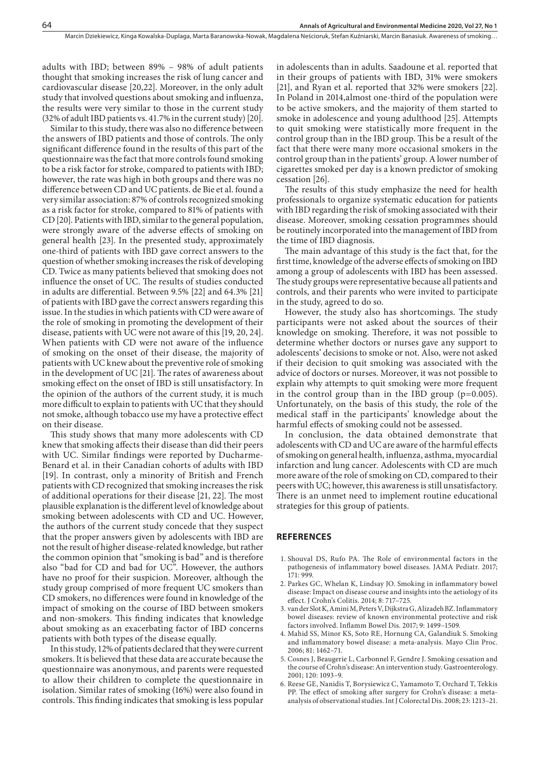adults with IBD; between 89% – 98% of adult patients thought that smoking increases the risk of lung cancer and cardiovascular disease [20,22]. Moreover, in the only adult study that involved questions about smoking and influenza, the results were very similar to those in the current study (32% of adult IBD patients vs. 41.7% in the current study) [20].

Similar to this study, there was also no difference between the answers of IBD patients and those of controls. The only significant difference found in the results of this part of the questionnaire was the fact that more controls found smoking to be a risk factor for stroke, compared to patients with IBD; however, the rate was high in both groups and there was no difference between CD and UC patients. de Bie et al. found a very similar association: 87% of controls recognized smoking as a risk factor for stroke, compared to 81% of patients with CD [20]. Patients with IBD, similar to the general population, were strongly aware of the adverse effects of smoking on general health [23]. In the presented study, approximately one-third of patients with IBD gave correct answers to the question of whether smoking increases the risk of developing CD. Twice as many patients believed that smoking does not influence the onset of UC. The results of studies conducted in adults are differential. Between 9.5% [22] and 64.3% [21] of patients with IBD gave the correct answers regarding this issue. In the studies in which patients with CD were aware of the role of smoking in promoting the development of their disease, patients with UC were not aware of this [19, 20, 24]. When patients with CD were not aware of the influence of smoking on the onset of their disease, the majority of patients with UC knew about the preventive role of smoking in the development of UC [21]. The rates of awareness about smoking effect on the onset of IBD is still unsatisfactory. In the opinion of the authors of the current study, it is much more difficult to explain to patients with UC that they should not smoke, although tobacco use my have a protective effect on their disease.

This study shows that many more adolescents with CD knew that smoking affects their disease than did their peers with UC. Similar findings were reported by Ducharme-Benard et al. in their Canadian cohorts of adults with IBD [19]. In contrast, only a minority of British and French patients with CD recognized that smoking increases the risk of additional operations for their disease [21, 22]. The most plausible explanation is the different level of knowledge about smoking between adolescents with CD and UC. However, the authors of the current study concede that they suspect that the proper answers given by adolescents with IBD are not the result of higher disease-related knowledge, but rather the common opinion that "smoking is bad" and is therefore also "bad for CD and bad for UC". However, the authors have no proof for their suspicion. Moreover, although the study group comprised of more frequent UC smokers than CD smokers, no differences were found in knowledge of the impact of smoking on the course of IBD between smokers and non-smokers. This finding indicates that knowledge about smoking as an exacerbating factor of IBD concerns patients with both types of the disease equally.

In this study, 12% of patients declared that they were current smokers. It is believed that these data are accurate because the questionnaire was anonymous, and parents were requested to allow their children to complete the questionnaire in isolation. Similar rates of smoking (16%) were also found in controls. This finding indicates that smoking is less popular

in adolescents than in adults. Saadoune et al. reported that in their groups of patients with IBD, 31% were smokers [21], and Ryan et al. reported that 32% were smokers [22]. In Poland in 2014,almost one-third of the population were to be active smokers, and the majority of them started to smoke in adolescence and young adulthood [25]. Attempts to quit smoking were statistically more frequent in the control group than in the IBD group. This be a result of the fact that there were many more occasional smokers in the control group than in the patients' group. A lower number of cigarettes smoked per day is a known predictor of smoking cessation [26].

The results of this study emphasize the need for health professionals to organize systematic education for patients with IBD regarding the risk of smoking associated with their disease. Moreover, smoking cessation programmes should be routinely incorporated into the management of IBD from the time of IBD diagnosis.

The main advantage of this study is the fact that, for the first time, knowledge of the adverse effects of smoking on IBD among a group of adolescents with IBD has been assessed. The study groups were representative because all patients and controls, and their parents who were invited to participate in the study, agreed to do so.

However, the study also has shortcomings. The study participants were not asked about the sources of their knowledge on smoking. Therefore, it was not possible to determine whether doctors or nurses gave any support to adolescents' decisions to smoke or not. Also, were not asked if their decision to quit smoking was associated with the advice of doctors or nurses. Moreover, it was not possible to explain why attempts to quit smoking were more frequent in the control group than in the IBD group  $(p=0.005)$ . Unfortunately, on the basis of this study, the role of the medical staff in the participants' knowledge about the harmful effects of smoking could not be assessed.

In conclusion, the data obtained demonstrate that adolescents with CD and UC are aware of the harmful effects of smoking on general health, influenza, asthma, myocardial infarction and lung cancer. Adolescents with CD are much more aware of the role of smoking on CD, compared to their peers with UC; however, this awareness is still unsatisfactory. There is an unmet need to implement routine educational strategies for this group of patients.

#### **REFERENCES**

- 1. Shouval DS, Rufo PA. The Role of environmental factors in the pathogenesis of inflammatory bowel diseases. JAMA Pediatr. 2017; 171: 999.
- 2. Parkes GC, Whelan K, Lindsay JO. Smoking in inflammatory bowel disease: Impact on disease course and insights into the aetiology of its effect. J Crohn's Colitis. 2014; 8: 717–725.
- 3. van der Slot K, Amini M, Peters V, Dijkstra G, Alizadeh BZ. Inflammatory bowel diseases: review of known environmental protective and risk factors involved. Inflamm Bowel Dis. 2017; 9: 1499–1509.
- 4. Mahid SS, Minor KS, Soto RE, Hornung CA, Galandiuk S. Smoking and inflammatory bowel disease: a meta-analysis. Mayo Clin Proc. 2006; 81: 1462–71.
- 5. Cosnes J, Beaugerie L, Carbonnel F, Gendre J. Smoking cessation and the course of Crohn's disease: An intervention study. Gastroenterology. 2001; 120: 1093–9.
- 6. Reese GE, Nanidis T, Borysiewicz C, Yamamoto T, Orchard T, Tekkis PP. The effect of smoking after surgery for Crohn's disease: a metaanalysis of observational studies. Int J Colorectal Dis. 2008; 23: 1213–21.